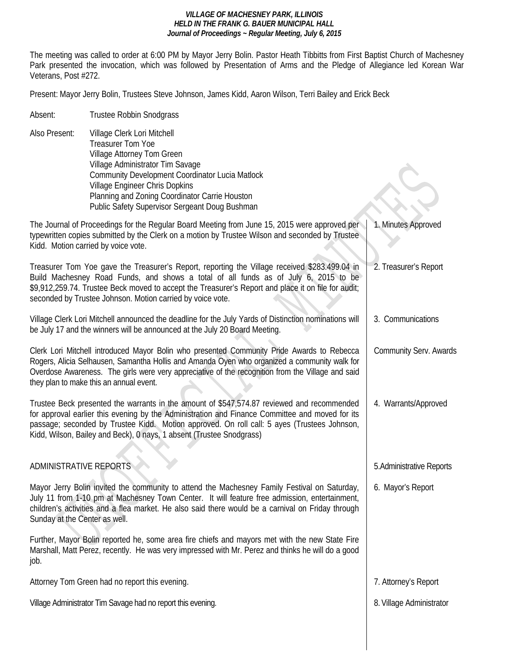The meeting was called to order at 6:00 PM by Mayor Jerry Bolin. Pastor Heath Tibbitts from First Baptist Church of Machesney Park presented the invocation, which was followed by Presentation of Arms and the Pledge of Allegiance led Korean War Veterans, Post #272.

Present: Mayor Jerry Bolin, Trustees Steve Johnson, James Kidd, Aaron Wilson, Terri Bailey and Erick Beck

Absent: Trustee Robbin Snodgrass Also Present: Village Clerk Lori Mitchell Treasurer Tom Yoe Village Attorney Tom Green Village Administrator Tim Savage Community Development Coordinator Lucia Matlock Village Engineer Chris Dopkins Planning and Zoning Coordinator Carrie Houston Public Safety Supervisor Sergeant Doug Bushman

The Journal of Proceedings for the Regular Board Meeting from June 15, 2015 were approved per typewritten copies submitted by the Clerk on a motion by Trustee Wilson and seconded by Trustee Kidd. Motion carried by voice vote. Treasurer Tom Yoe gave the Treasurer's Report, reporting the Village received \$283.499.04 in Build Machesney Road Funds, and shows a total of all funds as of July 6, 2015 to be \$9,912,259.74. Trustee Beck moved to accept the Treasurer's Report and place it on file for audit; seconded by Trustee Johnson. Motion carried by voice vote. Village Clerk Lori Mitchell announced the deadline for the July Yards of Distinction nominations will be July 17 and the winners will be announced at the July 20 Board Meeting. Clerk Lori Mitchell introduced Mayor Bolin who presented Community Pride Awards to Rebecca Rogers, Alicia Selhausen, Samantha Hollis and Amanda Oyen who organized a community walk for Overdose Awareness. The girls were very appreciative of the recognition from the Village and said they plan to make this an annual event. Trustee Beck presented the warrants in the amount of \$547,574.87 reviewed and recommended for approval earlier this evening by the Administration and Finance Committee and moved for its passage; seconded by Trustee Kidd. Motion approved. On roll call: 5 ayes (Trustees Johnson, Kidd, Wilson, Bailey and Beck), 0 nays, 1 absent (Trustee Snodgrass) ADMINISTRATIVE REPORTS Mayor Jerry Bolin invited the community to attend the Machesney Family Festival on Saturday, July 11 from 1-10 pm at Machesney Town Center. It will feature free admission, entertainment, children's activities and a flea market. He also said there would be a carnival on Friday through Sunday at the Center as well. Further, Mayor Bolin reported he, some area fire chiefs and mayors met with the new State Fire Marshall, Matt Perez, recently. He was very impressed with Mr. Perez and thinks he will do a good job. Attorney Tom Green had no report this evening. Village Administrator Tim Savage had no report this evening. 1. Minutes Approved 2. Treasurer's Report 3. Communications Community Serv. Awards 4. Warrants/Approved 5.Administrative Reports 6. Mayor's Report 7. Attorney's Report 8. Village Administrator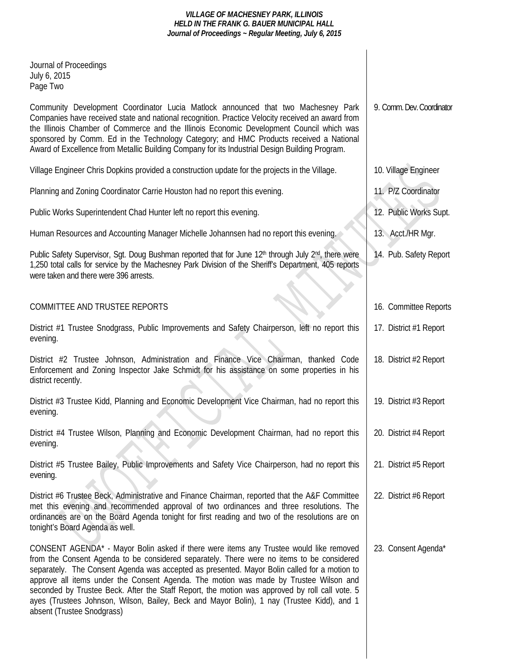| Journal of Proceedings<br>July 6, 2015<br>Page Two                                                                                                                                                                                                                                                                                                                                                                                                                                                                                                                                                         |                           |
|------------------------------------------------------------------------------------------------------------------------------------------------------------------------------------------------------------------------------------------------------------------------------------------------------------------------------------------------------------------------------------------------------------------------------------------------------------------------------------------------------------------------------------------------------------------------------------------------------------|---------------------------|
| Community Development Coordinator Lucia Matlock announced that two Machesney Park<br>Companies have received state and national recognition. Practice Velocity received an award from<br>the Illinois Chamber of Commerce and the Illinois Economic Development Council which was<br>sponsored by Comm. Ed in the Technology Category; and HMC Products received a National<br>Award of Excellence from Metallic Building Company for its Industrial Design Building Program.                                                                                                                              | 9. Comm. Dev. Coordinator |
| Village Engineer Chris Dopkins provided a construction update for the projects in the Village.                                                                                                                                                                                                                                                                                                                                                                                                                                                                                                             | 10. Village Engineer      |
| Planning and Zoning Coordinator Carrie Houston had no report this evening.                                                                                                                                                                                                                                                                                                                                                                                                                                                                                                                                 | 11. P/Z Coordinator       |
| Public Works Superintendent Chad Hunter left no report this evening.                                                                                                                                                                                                                                                                                                                                                                                                                                                                                                                                       | 12. Public Works Supt.    |
| Human Resources and Accounting Manager Michelle Johannsen had no report this evening.                                                                                                                                                                                                                                                                                                                                                                                                                                                                                                                      | 13. Acct./HR Mgr.         |
| Public Safety Supervisor, Sgt. Doug Bushman reported that for June 12 <sup>th</sup> through July 2 <sup>nd</sup> , there were<br>1,250 total calls for service by the Machesney Park Division of the Sheriff's Department, 405 reports<br>were taken and there were 396 arrests.                                                                                                                                                                                                                                                                                                                           | 14. Pub. Safety Report    |
| COMMITTEE AND TRUSTEE REPORTS                                                                                                                                                                                                                                                                                                                                                                                                                                                                                                                                                                              | 16. Committee Reports     |
| District #1 Trustee Snodgrass, Public Improvements and Safety Chairperson, left no report this<br>evening.                                                                                                                                                                                                                                                                                                                                                                                                                                                                                                 | 17. District #1 Report    |
| District #2 Trustee Johnson, Administration and Finance Vice Chairman, thanked Code<br>Enforcement and Zoning Inspector Jake Schmidt for his assistance on some properties in his<br>district recently.                                                                                                                                                                                                                                                                                                                                                                                                    | 18. District #2 Report    |
| District #3 Trustee Kidd, Planning and Economic Development Vice Chairman, had no report this<br>evening.                                                                                                                                                                                                                                                                                                                                                                                                                                                                                                  | 19. District #3 Report    |
| District #4 Trustee Wilson, Planning and Economic Development Chairman, had no report this<br>evening.                                                                                                                                                                                                                                                                                                                                                                                                                                                                                                     | 20. District #4 Report    |
| District #5 Trustee Bailey, Public Improvements and Safety Vice Chairperson, had no report this<br>evening.                                                                                                                                                                                                                                                                                                                                                                                                                                                                                                | 21. District #5 Report    |
| District #6 Trustee Beck, Administrative and Finance Chairman, reported that the A&F Committee<br>met this evening and recommended approval of two ordinances and three resolutions. The<br>ordinances are on the Board Agenda tonight for first reading and two of the resolutions are on<br>tonight's Board Agenda as well.                                                                                                                                                                                                                                                                              | 22. District #6 Report    |
| CONSENT AGENDA* - Mayor Bolin asked if there were items any Trustee would like removed<br>from the Consent Agenda to be considered separately. There were no items to be considered<br>separately. The Consent Agenda was accepted as presented. Mayor Bolin called for a motion to<br>approve all items under the Consent Agenda. The motion was made by Trustee Wilson and<br>seconded by Trustee Beck. After the Staff Report, the motion was approved by roll call vote. 5<br>ayes (Trustees Johnson, Wilson, Bailey, Beck and Mayor Bolin), 1 nay (Trustee Kidd), and 1<br>absent (Trustee Snodgrass) | 23. Consent Agenda*       |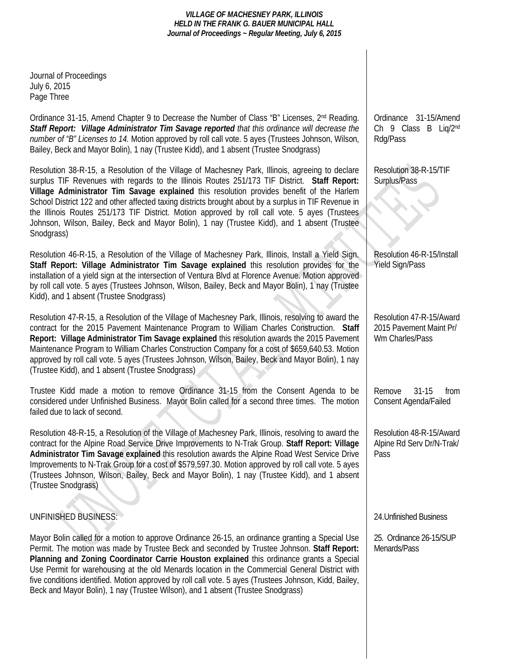Journal of Proceedings July 6, 2015 Page Three

Ordinance 31-15, Amend Chapter 9 to Decrease the Number of Class "B" Licenses, 2nd Reading. *Staff Report: Village Administrator Tim Savage reported that this ordinance will decrease the number of "B" Licenses to 14.* Motion approved by roll call vote. 5 ayes (Trustees Johnson, Wilson, Bailey, Beck and Mayor Bolin), 1 nay (Trustee Kidd), and 1 absent (Trustee Snodgrass)

Resolution 38-R-15, a Resolution of the Village of Machesney Park, Illinois, agreeing to declare surplus TIF Revenues with regards to the Illinois Routes 251/173 TIF District. **Staff Report: Village Administrator Tim Savage explained** this resolution provides benefit of the Harlem School District 122 and other affected taxing districts brought about by a surplus in TIF Revenue in the Illinois Routes 251/173 TIF District. Motion approved by roll call vote. 5 ayes (Trustees Johnson, Wilson, Bailey, Beck and Mayor Bolin), 1 nay (Trustee Kidd), and 1 absent (Trustee Snodgrass)

Resolution 46-R-15, a Resolution of the Village of Machesney Park, Illinois, Install a Yield Sign. **Staff Report: Village Administrator Tim Savage explained** this resolution provides for the installation of a yield sign at the intersection of Ventura Blvd at Florence Avenue. Motion approved by roll call vote. 5 ayes (Trustees Johnson, Wilson, Bailey, Beck and Mayor Bolin), 1 nay (Trustee Kidd), and 1 absent (Trustee Snodgrass)

Resolution 47-R-15, a Resolution of the Village of Machesney Park, Illinois, resolving to award the contract for the 2015 Pavement Maintenance Program to William Charles Construction. **Staff Report: Village Administrator Tim Savage explained** this resolution awards the 2015 Pavement Maintenance Program to William Charles Construction Company for a cost of \$659,640.53. Motion approved by roll call vote. 5 ayes (Trustees Johnson, Wilson, Bailey, Beck and Mayor Bolin), 1 nay (Trustee Kidd), and 1 absent (Trustee Snodgrass)

Trustee Kidd made a motion to remove Ordinance 31-15 from the Consent Agenda to be considered under Unfinished Business. Mayor Bolin called for a second three times. The motion failed due to lack of second.

Resolution 48-R-15, a Resolution of the Village of Machesney Park, Illinois, resolving to award the contract for the Alpine Road Service Drive Improvements to N-Trak Group. **Staff Report: Village Administrator Tim Savage explained** this resolution awards the Alpine Road West Service Drive Improvements to N-Trak Group for a cost of \$579,597.30. Motion approved by roll call vote. 5 ayes (Trustees Johnson, Wilson, Bailey, Beck and Mayor Bolin), 1 nay (Trustee Kidd), and 1 absent (Trustee Snodgrass)

## UNFINISHED BUSINESS:

Mayor Bolin called for a motion to approve Ordinance 26-15, an ordinance granting a Special Use Permit. The motion was made by Trustee Beck and seconded by Trustee Johnson. **Staff Report: Planning and Zoning Coordinator Carrie Houston explained** this ordinance grants a Special Use Permit for warehousing at the old Menards location in the Commercial General District with five conditions identified. Motion approved by roll call vote. 5 ayes (Trustees Johnson, Kidd, Bailey, Beck and Mayor Bolin), 1 nay (Trustee Wilson), and 1 absent (Trustee Snodgrass)

Ordinance 31-15/Amend Ch 9 Class B Liq/2nd Rdg/Pass

Resolution 38-R-15/TIF Surplus/Pass

Resolution 46-R-15/Install Yield Sign/Pass

Resolution 47-R-15/Award 2015 Pavement Maint Pr/ Wm Charles/Pass

Remove 31-15 from Consent Agenda/Failed

Resolution 48-R-15/Award Alpine Rd Serv Dr/N-Trak/ Pass

24.Unfinished Business

25. Ordinance 26-15/SUP Menards/Pass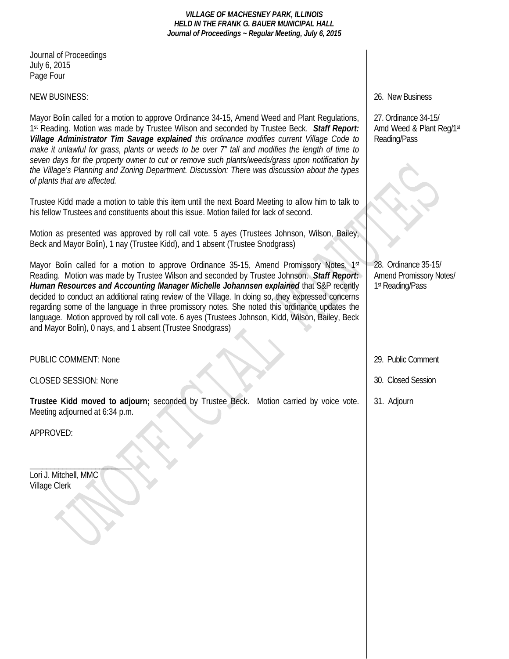Journal of Proceedings July 6, 2015 Page Four

### NEW BUSINESS:

Mayor Bolin called for a motion to approve Ordinance 34-15, Amend Weed and Plant Regulations, 1st Reading. Motion was made by Trustee Wilson and seconded by Trustee Beck. *Staff Report: Village Administrator Tim Savage explained this ordinance modifies current Village Code to make it unlawful for grass, plants or weeds to be over 7" tall and modifies the length of time to seven days for the property owner to cut or remove such plants/weeds/grass upon notification by the Village's Planning and Zoning Department. Discussion: There was discussion about the types of plants that are affected.* 

Trustee Kidd made a motion to table this item until the next Board Meeting to allow him to talk to his fellow Trustees and constituents about this issue. Motion failed for lack of second.

Motion as presented was approved by roll call vote. 5 ayes (Trustees Johnson, Wilson, Bailey, Beck and Mayor Bolin), 1 nay (Trustee Kidd), and 1 absent (Trustee Snodgrass)

Mayor Bolin called for a motion to approve Ordinance 35-15, Amend Promissory Notes,  $1^{st}$ Reading. Motion was made by Trustee Wilson and seconded by Trustee Johnson. *Staff Report: Human Resources and Accounting Manager Michelle Johannsen explained* that S&P recently decided to conduct an additional rating review of the Village. In doing so, they expressed concerns regarding some of the language in three promissory notes. She noted this ordinance updates the language. Motion approved by roll call vote. 6 ayes (Trustees Johnson, Kidd, Wilson, Bailey, Beck and Mayor Bolin), 0 nays, and 1 absent (Trustee Snodgrass)

PUBLIC COMMENT: None

CLOSED SESSION: None

**Trustee Kidd moved to adjourn;** seconded by Trustee Beck. Motion carried by voice vote. Meeting adjourned at 6:34 p.m.

APPROVED:

 $\overline{\phantom{a}}$ Lori J. Mitchell, MMC Village Clerk

26. New Business

27. Ordinance 34-15/ Amd Weed & Plant Reg/1st Reading/Pass

28. Ordinance 35-15/ Amend Promissory Notes/ 1st Reading/Pass

29. Public Comment

30. Closed Session

31. Adjourn